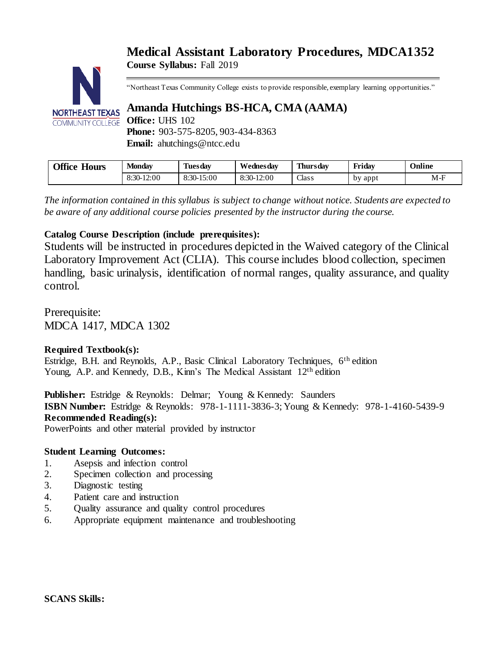# **Medical Assistant Laboratory Procedures, MDCA1352 Course Syllabus:** Fall 2019



"Northeast Texas Community College exists to provide responsible, exemplary learning opportunities."

# **Amanda Hutchings BS-HCA, CMA (AAMA)**

**Phone:** 903-575-8205, 903-434-8363 **Email:** ahutchings@ntcc.edu

| Office<br><b>Hours</b> | Monday       | Tuesdav    | Wednesdav  | Thursdav     | Friday  | Online |
|------------------------|--------------|------------|------------|--------------|---------|--------|
|                        | $8:30-12:00$ | 8:30-15:00 | 8:30-12:00 | <b>Class</b> | by appt | $M-F$  |

*The information contained in this syllabus is subject to change without notice. Students are expected to be aware of any additional course policies presented by the instructor during the course.*

# **Catalog Course Description (include prerequisites):**

Students will be instructed in procedures depicted in the Waived category of the Clinical Laboratory Improvement Act (CLIA). This course includes blood collection, specimen handling, basic urinalysis, identification of normal ranges, quality assurance, and quality control.

Prerequisite: MDCA 1417, MDCA 1302

# **Required Textbook(s):**

Estridge, B.H. and Reynolds, A.P., Basic Clinical Laboratory Techniques, 6th edition Young, A.P. and Kennedy, D.B., Kinn's The Medical Assistant 12<sup>th</sup> edition

**Publisher:** Estridge & Reynolds: Delmar; Young & Kennedy: Saunders **ISBN Number:** Estridge & Reynolds: 978-1-1111-3836-3; Young & Kennedy: 978-1-4160-5439-9 **Recommended Reading(s):**

PowerPoints and other material provided by instructor

# **Student Learning Outcomes:**

- 1. Asepsis and infection control
- 2. Specimen collection and processing
- 3. Diagnostic testing
- 4. Patient care and instruction
- 5. Quality assurance and quality control procedures
- 6. Appropriate equipment maintenance and troubleshooting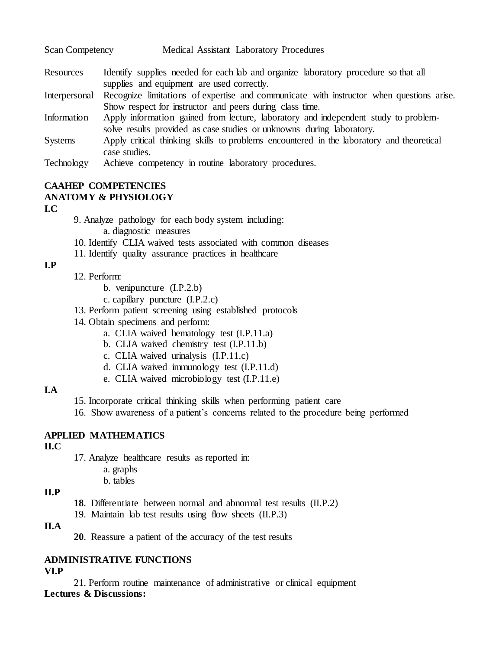| <b>Scan Competency</b> | Medical Assistant Laboratory Procedures                                                                                                              |  |  |  |  |
|------------------------|------------------------------------------------------------------------------------------------------------------------------------------------------|--|--|--|--|
| Resources              | Identify supplies needed for each lab and organize laboratory procedure so that all<br>supplies and equipment are used correctly.                    |  |  |  |  |
| Interpersonal          | Recognize limitations of expertise and communicate with instructor when questions arise.<br>Show respect for instructor and peers during class time. |  |  |  |  |
| Information            | Apply information gained from lecture, laboratory and independent study to problem-                                                                  |  |  |  |  |

solve results provided as case studies or unknowns during laboratory.

Systems Apply critical thinking skills to problems encountered in the laboratory and theoretical case studies.

Technology Achieve competency in routine laboratory procedures.

# **CAAHEP COMPETENCIES ANATOMY & PHYSIOLOGY**

#### **I.C**

9. Analyze pathology for each body system including:

a. diagnostic measures

- 10. Identify CLIA waived tests associated with common diseases
- 11. Identify quality assurance practices in healthcare

# **I.P**

# **1**2. Perform:

- b. venipuncture (I.P.2.b)
- c. capillary puncture (I.P.2.c)
- 13. Perform patient screening using established protocols
- 14. Obtain specimens and perform:
	- a. CLIA waived hematology test (I.P.11.a)
	- b. CLIA waived chemistry test (I.P.11.b)
	- c. CLIA waived urinalysis (I.P.11.c)
	- d. CLIA waived immunology test (I.P.11.d)
	- e. CLIA waived microbiology test (I.P.11.e)

# **I.A**

15. Incorporate critical thinking skills when performing patient care

16. Show awareness of a patient's concerns related to the procedure being performed

# **APPLIED MATHEMATICS**

# **II.C**

17. Analyze healthcare results as reported in:

- a. graphs
- b. tables

# **II.P**

- **18**. Differentiate between normal and abnormal test results (II.P.2)
- 19. Maintain lab test results using flow sheets (II.P.3)

# **II.A**

**20**. Reassure a patient of the accuracy of the test results

#### **ADMINISTRATIVE FUNCTIONS VI.P**

21. Perform routine maintenance of administrative or clinical equipment **Lectures & Discussions:**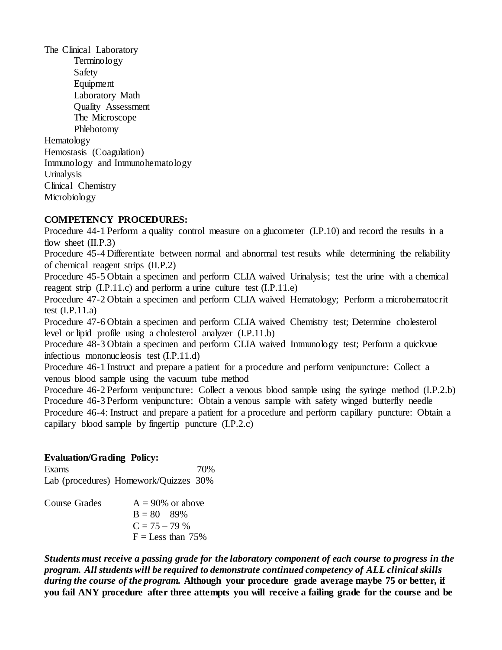The Clinical Laboratory **Terminology** Safety Equipment Laboratory Math Quality Assessment The Microscope Phlebotomy Hematology Hemostasis (Coagulation) Immunology and Immunohematology Urinalysis Clinical Chemistry Microbiology

# **COMPETENCY PROCEDURES:**

Procedure 44-1 Perform a quality control measure on a glucometer (I.P.10) and record the results in a flow sheet  $(II.P.3)$ 

Procedure 45-4 Differentiate between normal and abnormal test results while determining the reliability of chemical reagent strips (II.P.2)

Procedure 45-5 Obtain a specimen and perform CLIA waived Urinalysis; test the urine with a chemical reagent strip (I.P.11.c) and perform a urine culture test (I.P.11.e)

Procedure 47-2 Obtain a specimen and perform CLIA waived Hematology; Perform a microhematocrit test  $(I.P.11.a)$ 

Procedure 47-6 Obtain a specimen and perform CLIA waived Chemistry test; Determine cholesterol level or lipid profile using a cholesterol analyzer (I.P.11.b)

Procedure 48-3 Obtain a specimen and perform CLIA waived Immunology test; Perform a quickvue infectious mononucleosis test (I.P.11.d)

Procedure 46-1 Instruct and prepare a patient for a procedure and perform venipuncture: Collect a venous blood sample using the vacuum tube method

Procedure 46-2 Perform venipuncture: Collect a venous blood sample using the syringe method (I.P.2.b) Procedure 46-3 Perform venipuncture: Obtain a venous sample with safety winged butterfly needle Procedure 46-4: Instruct and prepare a patient for a procedure and perform capillary puncture: Obtain a capillary blood sample by fingertip puncture (I.P.2.c)

# **Evaluation/Grading Policy:**

Exams 70% Lab (procedures) Homework/Quizzes 30%

| Course Grades | $A = 90\%$ or above |
|---------------|---------------------|
|               | $B = 80 - 89\%$     |
|               | $C = 75 - 79\%$     |
|               | $F =$ Less than 75% |

*Students must receive a passing grade for the laboratory component of each course to progress in the program. All students will be required to demonstrate continued competency of ALL clinical skills during the course of the program.* **Although your procedure grade average maybe 75 or better, if you fail ANY procedure after three attempts you will receive a failing grade for the course and be**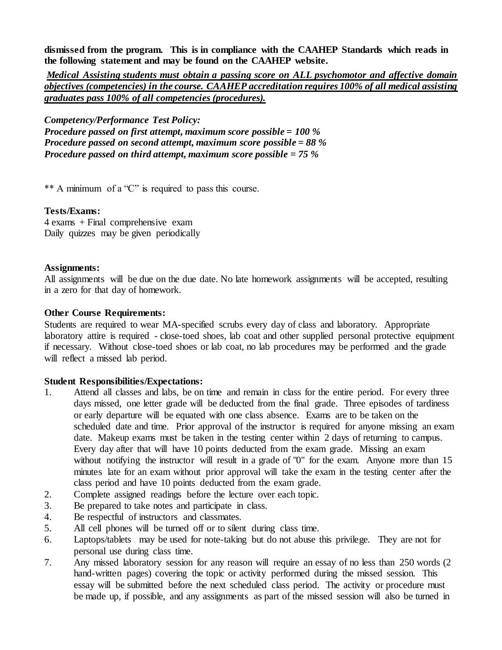**dismissed from the program. This is in compliance with the CAAHEP Standards which reads in the following statement and may be found on the CAAHEP website.**

*Medical Assisting students must obtain a passing score on ALL psychomotor and affective domain objectives (competencies) in the course. CAAHEP accreditation requires 100% of all medical assisting graduates pass 100% of all competencies (procedures).* 

*Competency/Performance Test Policy: Procedure passed on first attempt, maximum score possible = 100 % Procedure passed on second attempt, maximum score possible = 88 % Procedure passed on third attempt, maximum score possible = 75 %*

\*\* A minimum of a "C" is required to pass this course.

### **Tests/Exams:**

4 exams + Final comprehensive exam Daily quizzes may be given periodically

### **Assignments:**

All assignments will be due on the due date. No late homework assignments will be accepted, resulting in a zero for that day of homework.

### **Other Course Requirements:**

Students are required to wear MA-specified scrubs every day of class and laboratory. Appropriate laboratory attire is required - close-toed shoes, lab coat and other supplied personal protective equipment if necessary. Without close-toed shoes or lab coat, no lab procedures may be performed and the grade will reflect a missed lab period.

# **Student Responsibilities/Expectations:**

- 1. Attend all classes and labs, be on time and remain in class for the entire period. For every three days missed, one letter grade will be deducted from the final grade. Three episodes of tardiness or early departure will be equated with one class absence. Exams are to be taken on the scheduled date and time. Prior approval of the instructor is required for anyone missing an exam date. Makeup exams must be taken in the testing center within 2 days of returning to campus. Every day after that will have 10 points deducted from the exam grade. Missing an exam without notifying the instructor will result in a grade of "0" for the exam. Anyone more than 15 minutes late for an exam without prior approval will take the exam in the testing center after the class period and have 10 points deducted from the exam grade.
- 2. Complete assigned readings before the lecture over each topic.
- 3. Be prepared to take notes and participate in class.
- 4. Be respectful of instructors and classmates.
- 5. All cell phones will be turned off or to silent during class time.
- 6. Laptops/tablets may be used for note-taking but do not abuse this privilege. They are not for personal use during class time.
- 7. Any missed laboratory session for any reason will require an essay of no less than 250 words (2 hand-written pages) covering the topic or activity performed during the missed session. This essay will be submitted before the next scheduled class period. The activity or procedure must be made up, if possible, and any assignments as part of the missed session will also be turned in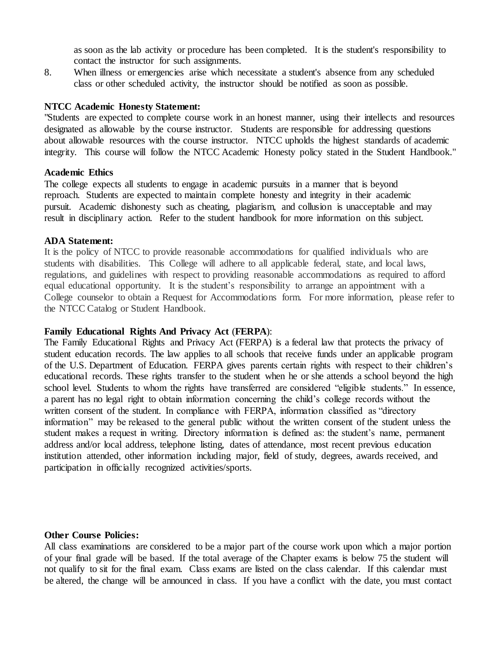as soon as the lab activity or procedure has been completed. It is the student's responsibility to contact the instructor for such assignments.

8. When illness or emergencies arise which necessitate a student's absence from any scheduled class or other scheduled activity, the instructor should be notified as soon as possible.

#### **NTCC Academic Honesty Statement:**

"Students are expected to complete course work in an honest manner, using their intellects and resources designated as allowable by the course instructor. Students are responsible for addressing questions about allowable resources with the course instructor. NTCC upholds the highest standards of academic integrity. This course will follow the NTCC Academic Honesty policy stated in the Student Handbook."

#### **Academic Ethics**

The college expects all students to engage in academic pursuits in a manner that is beyond reproach. Students are expected to maintain complete honesty and integrity in their academic pursuit. Academic dishonesty such as cheating, plagiarism, and collusion is unacceptable and may result in disciplinary action. Refer to the student handbook for more information on this subject.

#### **ADA Statement:**

It is the policy of NTCC to provide reasonable accommodations for qualified individuals who are students with disabilities. This College will adhere to all applicable federal, state, and local laws, regulations, and guidelines with respect to providing reasonable accommodations as required to afford equal educational opportunity. It is the student's responsibility to arrange an appointment with a College counselor to obtain a Request for Accommodations form. For more information, please refer to the NTCC Catalog or Student Handbook.

#### **Family Educational Rights And Privacy Act** (**FERPA**):

The Family Educational Rights and Privacy Act (FERPA) is a federal law that protects the privacy of student education records. The law applies to all schools that receive funds under an applicable program of the U.S. Department of Education. FERPA gives parents certain rights with respect to their children's educational records. These rights transfer to the student when he or she attends a school beyond the high school level. Students to whom the rights have transferred are considered "eligible students." In essence, a parent has no legal right to obtain information concerning the child's college records without the written consent of the student. In compliance with FERPA, information classified as "directory information" may be released to the general public without the written consent of the student unless the student makes a request in writing. Directory information is defined as: the student's name, permanent address and/or local address, telephone listing, dates of attendance, most recent previous education institution attended, other information including major, field of study, degrees, awards received, and participation in officially recognized activities/sports.

#### **Other Course Policies:**

All class examinations are considered to be a major part of the course work upon which a major portion of your final grade will be based. If the total average of the Chapter exams is below 75 the student will not qualify to sit for the final exam. Class exams are listed on the class calendar. If this calendar must be altered, the change will be announced in class. If you have a conflict with the date, you must contact